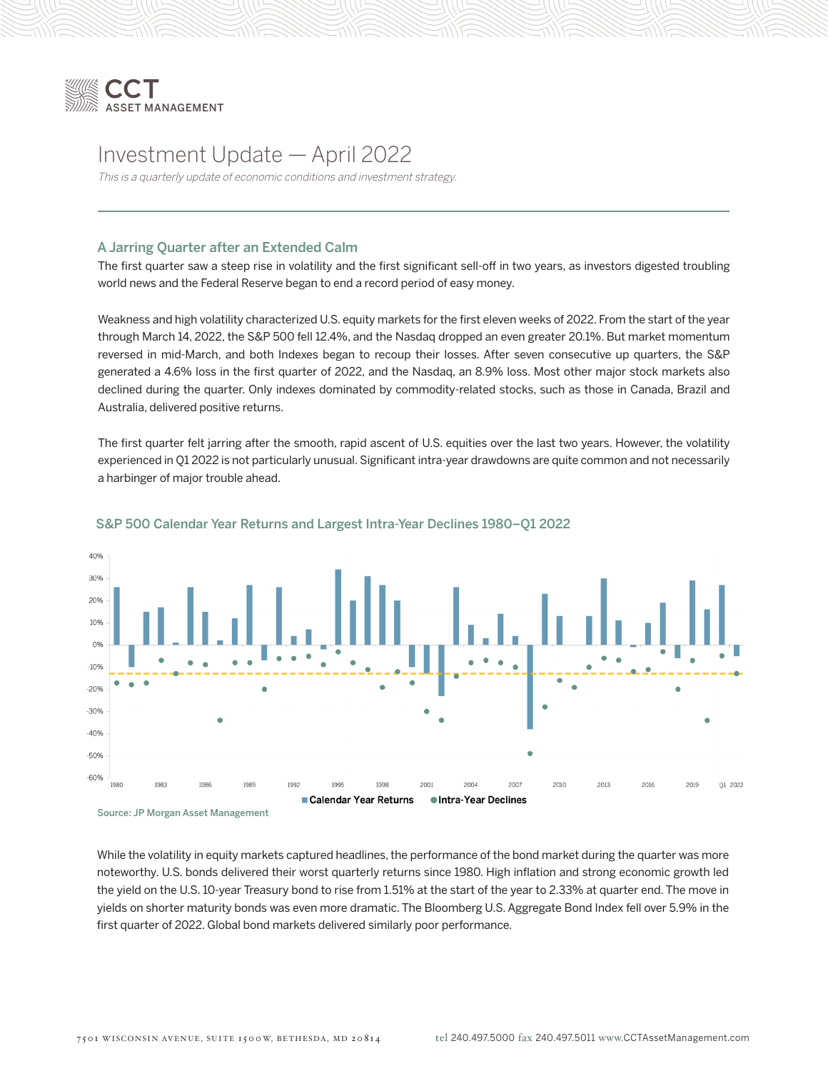

# Investment Update — April 2022

This is a quarterly update of economic conditions and investment strategy.

# A Jarring Quarter after an Extended Calm

The first quarter saw a steep rise in volatility and the first significant sell-off in two years, as investors digested troubling world news and the Federal Reserve began to end a record period of easy money.

Weakness and high volatility characterized U.S. equity markets for the first eleven weeks of 2022. From the start of the year through March 14, 2022, the S&P 500 fell 12.4%, and the Nasdaq dropped an even greater 20.1%. But market momentum reversed in mid-March, and both Indexes began to recoup their losses. After seven consecutive up quarters, the S&P generated a 4.6% loss in the first quarter of 2022, and the Nasdaq, an 8.9% loss. Most other major stock markets also declined during the quarter. Only indexes dominated by commodity-related stocks, such as those in Canada, Brazil and Australia, delivered positive returns.

The first quarter felt jarring after the smooth, rapid ascent of U.S. equities over the last two years. However, the volatility experienced in Q1 2022 is not particularly unusual. Significant intra-year drawdowns are quite common and not necessarily a harbinger of major trouble ahead.



#### S&P 500 Calendar Year Returns and Largest Intra-Year Declines 1980–Q1 2022

Source: JP Morgan Asset Management

While the volatility in equity markets captured headlines, the performance of the bond market during the quarter was more noteworthy. U.S. bonds delivered their worst quarterly returns since 1980. High inflation and strong economic growth led the yield on the U.S. 10-year Treasury bond to rise from 1.51% at the start of the year to 2.33% at quarter end. The move in yields on shorter maturity bonds was even more dramatic. The Bloomberg U.S. Aggregate Bond Index fell over 5.9% in the first quarter of 2022. Global bond markets delivered similarly poor performance.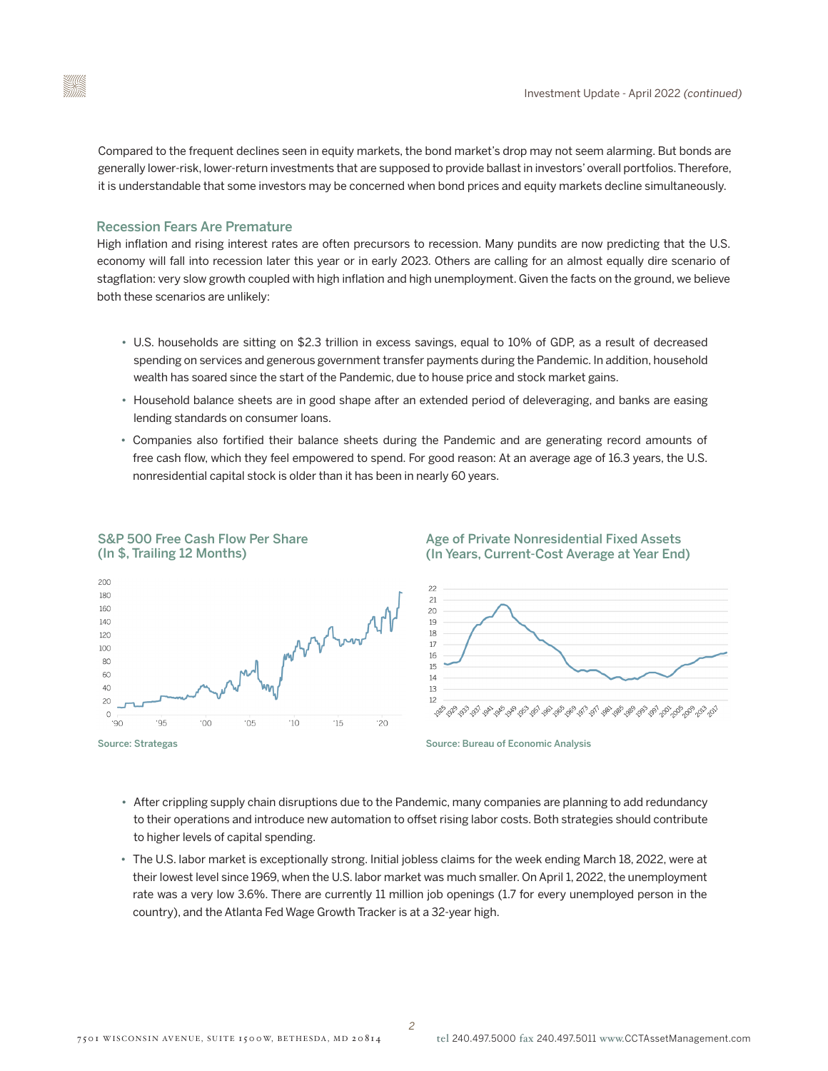Compared to the frequent declines seen in equity markets, the bond market's drop may not seem alarming. But bonds are generally lower-risk, lower-return investments that are supposed to provide ballast in investors' overall portfolios. Therefore, it is understandable that some investors may be concerned when bond prices and equity markets decline simultaneously.

# Recession Fears Are Premature

High inflation and rising interest rates are often precursors to recession. Many pundits are now predicting that the U.S. economy will fall into recession later this year or in early 2023. Others are calling for an almost equally dire scenario of stagflation: very slow growth coupled with high inflation and high unemployment. Given the facts on the ground, we believe both these scenarios are unlikely:

- U.S. households are sitting on \$2.3 trillion in excess savings, equal to 10% of GDP, as a result of decreased spending on services and generous government transfer payments during the Pandemic. In addition, household wealth has soared since the start of the Pandemic, due to house price and stock market gains.
- Household balance sheets are in good shape after an extended period of deleveraging, and banks are easing lending standards on consumer loans.
- Companies also fortified their balance sheets during the Pandemic and are generating record amounts of free cash flow, which they feel empowered to spend. For good reason: At an average age of 16.3 years, the U.S. nonresidential capital stock is older than it has been in nearly 60 years.



# S&P 500 Free Cash Flow Per Share (In \$, Trailing 12 Months)

# Age of Private Nonresidential Fixed Assets (In Years, Current-Cost Average at Year End)



Source: Bureau of Economic Analysis

- After crippling supply chain disruptions due to the Pandemic, many companies are planning to add redundancy to their operations and introduce new automation to offset rising labor costs. Both strategies should contribute to higher levels of capital spending.
- The U.S. labor market is exceptionally strong. Initial jobless claims for the week ending March 18, 2022, were at their lowest level since 1969, when the U.S. labor market was much smaller. On April 1, 2022, the unemployment rate was a very low 3.6%. There are currently 11 million job openings (1.7 for every unemployed person in the country), and the Atlanta Fed Wage Growth Tracker is at a 32-year high.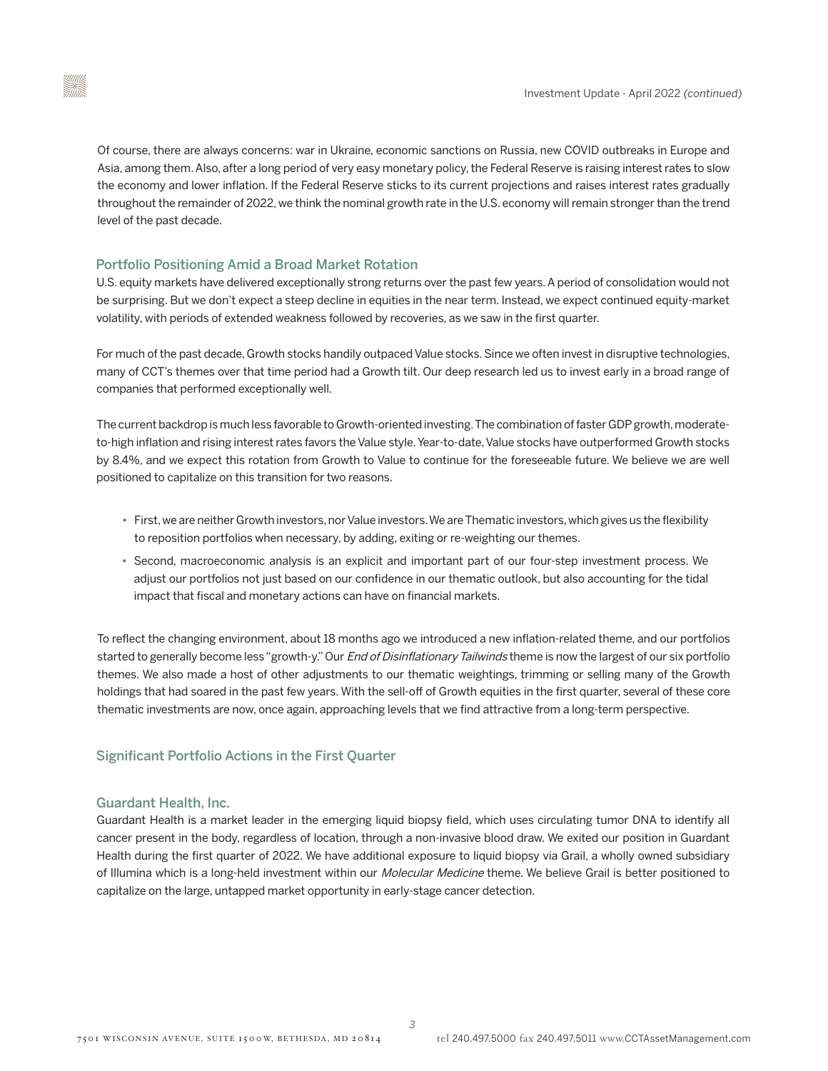Of course, there are always concerns: war in Ukraine, economic sanctions on Russia, new COVID outbreaks in Europe and Asia, among them. Also, after a long period of very easy monetary policy, the Federal Reserve is raising interest rates to slow the economy and lower inflation. If the Federal Reserve sticks to its current projections and raises interest rates gradually throughout the remainder of 2022, we think the nominal growth rate in the U.S. economy will remain stronger than the trend level of the past decade.

# Portfolio Positioning Amid a Broad Market Rotation

U.S. equity markets have delivered exceptionally strong returns over the past few years. A period of consolidation would not be surprising. But we don't expect a steep decline in equities in the near term. Instead, we expect continued equity-market volatility, with periods of extended weakness followed by recoveries, as we saw in the first quarter.

For much of the past decade, Growth stocks handily outpaced Value stocks. Since we often invest in disruptive technologies, many of CCT's themes over that time period had a Growth tilt. Our deep research led us to invest early in a broad range of companies that performed exceptionally well.

The current backdrop is much less favorable to Growth-oriented investing. The combination of faster GDP growth, moderateto-high inflation and rising interest rates favors the Value style. Year-to-date, Value stocks have outperformed Growth stocks by 8.4%, and we expect this rotation from Growth to Value to continue for the foreseeable future. We believe we are well positioned to capitalize on this transition for two reasons.

- First, we are neither Growth investors, nor Value investors. We are Thematic investors, which gives us the flexibility to reposition portfolios when necessary, by adding, exiting or re-weighting our themes.
- Second, macroeconomic analysis is an explicit and important part of our four-step investment process. We adjust our portfolios not just based on our confidence in our thematic outlook, but also accounting for the tidal impact that fiscal and monetary actions can have on financial markets.

To reflect the changing environment, about 18 months ago we introduced a new inflation-related theme, and our portfolios started to generally become less "growth-y." Our *End of Disinflationary Tailwinds* theme is now the largest of our six portfolio themes. We also made a host of other adjustments to our thematic weightings, trimming or selling many of the Growth holdings that had soared in the past few years. With the sell-off of Growth equities in the first quarter, several of these core thematic investments are now, once again, approaching levels that we find attractive from a long-term perspective.

# Significant Portfolio Actions in the First Quarter

# Guardant Health, Inc.

Guardant Health is a market leader in the emerging liquid biopsy field, which uses circulating tumor DNA to identify all cancer present in the body, regardless of location, through a non-invasive blood draw. We exited our position in Guardant Health during the first quarter of 2022. We have additional exposure to liquid biopsy via Grail, a wholly owned subsidiary of Illumina which is a long-held investment within our Molecular Medicine theme. We believe Grail is better positioned to capitalize on the large, untapped market opportunity in early-stage cancer detection.